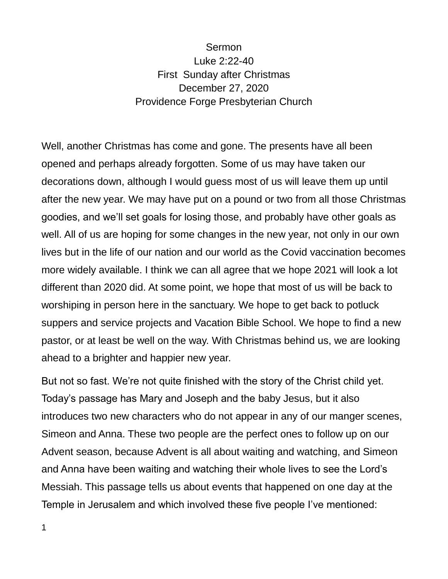## Sermon Luke 2:22-40 First Sunday after Christmas December 27, 2020 Providence Forge Presbyterian Church

Well, another Christmas has come and gone. The presents have all been opened and perhaps already forgotten. Some of us may have taken our decorations down, although I would guess most of us will leave them up until after the new year. We may have put on a pound or two from all those Christmas goodies, and we'll set goals for losing those, and probably have other goals as well. All of us are hoping for some changes in the new year, not only in our own lives but in the life of our nation and our world as the Covid vaccination becomes more widely available. I think we can all agree that we hope 2021 will look a lot different than 2020 did. At some point, we hope that most of us will be back to worshiping in person here in the sanctuary. We hope to get back to potluck suppers and service projects and Vacation Bible School. We hope to find a new pastor, or at least be well on the way. With Christmas behind us, we are looking ahead to a brighter and happier new year.

But not so fast. We're not quite finished with the story of the Christ child yet. Today's passage has Mary and Joseph and the baby Jesus, but it also introduces two new characters who do not appear in any of our manger scenes, Simeon and Anna. These two people are the perfect ones to follow up on our Advent season, because Advent is all about waiting and watching, and Simeon and Anna have been waiting and watching their whole lives to see the Lord's Messiah. This passage tells us about events that happened on one day at the Temple in Jerusalem and which involved these five people I've mentioned: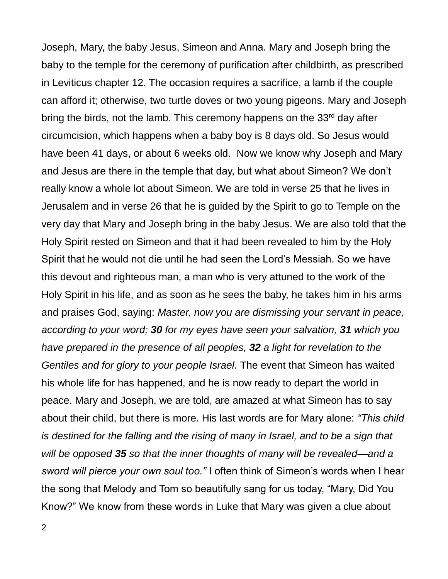Joseph, Mary, the baby Jesus, Simeon and Anna. Mary and Joseph bring the baby to the temple for the ceremony of purification after childbirth, as prescribed in Leviticus chapter 12. The occasion requires a sacrifice, a lamb if the couple can afford it; otherwise, two turtle doves or two young pigeons. Mary and Joseph bring the birds, not the lamb. This ceremony happens on the 33<sup>rd</sup> day after circumcision, which happens when a baby boy is 8 days old. So Jesus would have been 41 days, or about 6 weeks old. Now we know why Joseph and Mary and Jesus are there in the temple that day, but what about Simeon? We don't really know a whole lot about Simeon. We are told in verse 25 that he lives in Jerusalem and in verse 26 that he is guided by the Spirit to go to Temple on the very day that Mary and Joseph bring in the baby Jesus. We are also told that the Holy Spirit rested on Simeon and that it had been revealed to him by the Holy Spirit that he would not die until he had seen the Lord's Messiah. So we have this devout and righteous man, a man who is very attuned to the work of the Holy Spirit in his life, and as soon as he sees the baby, he takes him in his arms and praises God, saying: *Master, now you are dismissing your servant in peace, according to your word; 30 for my eyes have seen your salvation, 31 which you have prepared in the presence of all peoples, 32 a light for revelation to the Gentiles and for glory to your people Israel.* The event that Simeon has waited his whole life for has happened, and he is now ready to depart the world in peace. Mary and Joseph, we are told, are amazed at what Simeon has to say about their child, but there is more. His last words are for Mary alone: *"This child is destined for the falling and the rising of many in Israel, and to be a sign that will be opposed 35 so that the inner thoughts of many will be revealed—and a sword will pierce your own soul too."* I often think of Simeon's words when I hear the song that Melody and Tom so beautifully sang for us today, "Mary, Did You Know?" We know from these words in Luke that Mary was given a clue about

2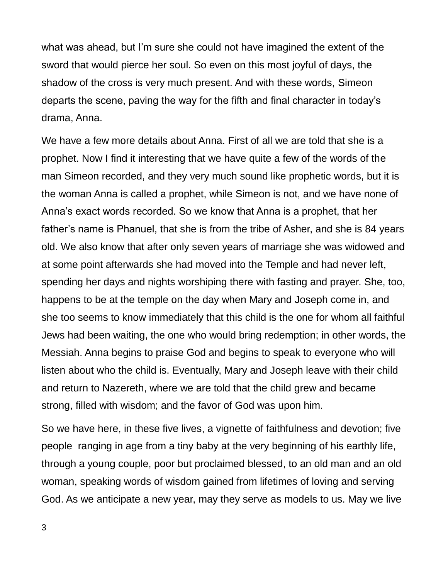what was ahead, but I'm sure she could not have imagined the extent of the sword that would pierce her soul. So even on this most joyful of days, the shadow of the cross is very much present. And with these words, Simeon departs the scene, paving the way for the fifth and final character in today's drama, Anna.

We have a few more details about Anna. First of all we are told that she is a prophet. Now I find it interesting that we have quite a few of the words of the man Simeon recorded, and they very much sound like prophetic words, but it is the woman Anna is called a prophet, while Simeon is not, and we have none of Anna's exact words recorded. So we know that Anna is a prophet, that her father's name is Phanuel, that she is from the tribe of Asher, and she is 84 years old. We also know that after only seven years of marriage she was widowed and at some point afterwards she had moved into the Temple and had never left, spending her days and nights worshiping there with fasting and prayer. She, too, happens to be at the temple on the day when Mary and Joseph come in, and she too seems to know immediately that this child is the one for whom all faithful Jews had been waiting, the one who would bring redemption; in other words, the Messiah. Anna begins to praise God and begins to speak to everyone who will listen about who the child is. Eventually, Mary and Joseph leave with their child and return to Nazereth, where we are told that the child grew and became strong, filled with wisdom; and the favor of God was upon him.

So we have here, in these five lives, a vignette of faithfulness and devotion; five people ranging in age from a tiny baby at the very beginning of his earthly life, through a young couple, poor but proclaimed blessed, to an old man and an old woman, speaking words of wisdom gained from lifetimes of loving and serving God. As we anticipate a new year, may they serve as models to us. May we live